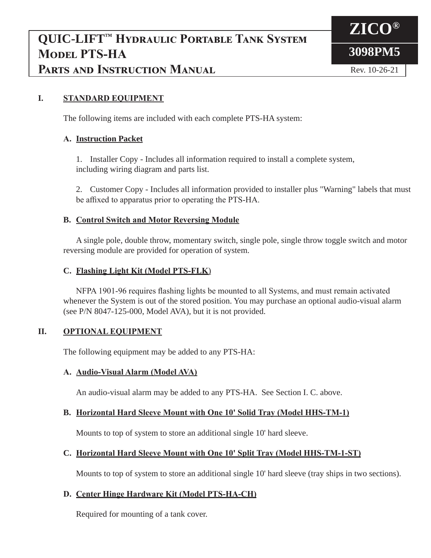# **QUIC-LIFT™ Hydraulic Portable Tank System Model PTS-HA Parts and Instruction Manual**



Rev. 10-26-21

# **I. STANDARD EQUIPMENT**

The following items are included with each complete PTS-HA system:

### **A. Instruction Packet**

 1. Installer Copy - Includes all information required to install a complete system, including wiring diagram and parts list.

 2. Customer Copy - Includes all information provided to installer plus "Warning" labels that must be affixed to apparatus prior to operating the PTS-HA.

#### **B. Control Switch and Motor Reversing Module**

 A single pole, double throw, momentary switch, single pole, single throw toggle switch and motor reversing module are provided for operation of system.

#### **C. Flashing Light Kit (Model PTS-FLK**)

 NFPA 1901-96 requires flashing lights be mounted to all Systems, and must remain activated whenever the System is out of the stored position. You may purchase an optional audio-visual alarm (see P/N 8047-125-000, Model AVA), but it is not provided.

# **II. OPTIONAL EQUIPMENT**

The following equipment may be added to any PTS-HA:

# **A. Audio-Visual Alarm (Model AVA)**

An audio-visual alarm may be added to any PTS-HA. See Section I. C. above.

#### **B. Horizontal Hard Sleeve Mount with One 10' Solid Tray (Model HHS-TM-1)**

Mounts to top of system to store an additional single 10' hard sleeve.

# **C. Horizontal Hard Sleeve Mount with One 10' Split Tray (Model HHS-TM-1-ST)**

Mounts to top of system to store an additional single 10' hard sleeve (tray ships in two sections).

# **D. Center Hinge Hardware Kit (Model PTS-HA-CH)**

Required for mounting of a tank cover.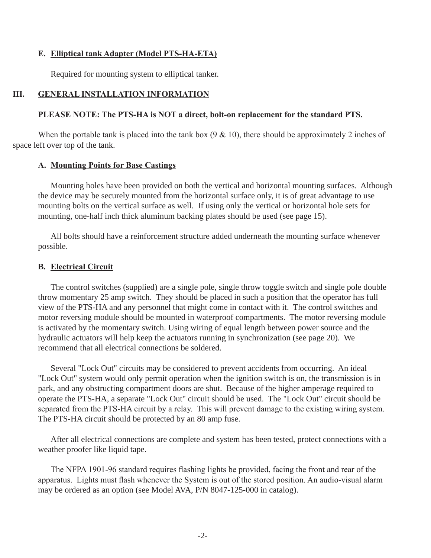#### **E. Elliptical tank Adapter (Model PTS-HA-ETA)**

Required for mounting system to elliptical tanker.

#### **III. GENERAL INSTALLATION INFORMATION**

#### **PLEASE NOTE: The PTS-HA is NOT a direct, bolt-on replacement for the standard PTS.**

When the portable tank is placed into the tank box  $(9 \& 10)$ , there should be approximately 2 inches of space left over top of the tank.

#### **A. Mounting Points for Base Castings**

 Mounting holes have been provided on both the vertical and horizontal mounting surfaces. Although the device may be securely mounted from the horizontal surface only, it is of great advantage to use mounting bolts on the vertical surface as well. If using only the vertical or horizontal hole sets for mounting, one-half inch thick aluminum backing plates should be used (see page 15).

 All bolts should have a reinforcement structure added underneath the mounting surface whenever possible.

#### **B. Electrical Circuit**

 The control switches (supplied) are a single pole, single throw toggle switch and single pole double throw momentary 25 amp switch. They should be placed in such a position that the operator has full view of the PTS-HA and any personnel that might come in contact with it. The control switches and motor reversing module should be mounted in waterproof compartments. The motor reversing module is activated by the momentary switch. Using wiring of equal length between power source and the hydraulic actuators will help keep the actuators running in synchronization (see page 20). We recommend that all electrical connections be soldered.

 Several "Lock Out" circuits may be considered to prevent accidents from occurring. An ideal "Lock Out" system would only permit operation when the ignition switch is on, the transmission is in park, and any obstructing compartment doors are shut. Because of the higher amperage required to operate the PTS-HA, a separate "Lock Out" circuit should be used. The "Lock Out" circuit should be separated from the PTS-HA circuit by a relay. This will prevent damage to the existing wiring system. The PTS-HA circuit should be protected by an 80 amp fuse.

 After all electrical connections are complete and system has been tested, protect connections with a weather proofer like liquid tape.

 The NFPA 1901-96 standard requires flashing lights be provided, facing the front and rear of the apparatus. Lights must flash whenever the System is out of the stored position. An audio-visual alarm may be ordered as an option (see Model AVA, P/N 8047-125-000 in catalog).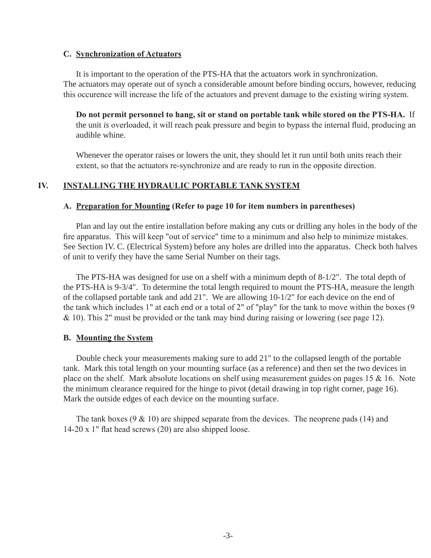#### **C. Synchronization of Actuators**

 It is important to the operation of the PTS-HA that the actuators work in synchronization. The actuators may operate out of synch a considerable amount before binding occurs, however, reducing this occurence will increase the life of the actuators and prevent damage to the existing wiring system.

 **Do not permit personnel to hang, sit or stand on portable tank while stored on the PTS-HA.** If the unit *is* overloaded, it will reach peak pressure and begin to bypass the internal fluid, producing an audible whine.

 Whenever the operator raises or lowers the unit, they should let it run until both units reach their extent, so that the actuators re-synchronize and are ready to run in the opposite direction.

#### **IV. INSTALLING THE HYDRAULIC PORTABLE TANK SYSTEM**

#### **A. Preparation for Mounting (Refer to page 10 for item numbers in parentheses)**

 Plan and lay out the entire installation before making any cuts or drilling any holes in the body of the fire apparatus. This will keep "out of service" time to a minimum and also help to minimize mistakes. See Section IV. C. (Electrical System) before any holes are drilled into the apparatus. Check both halves of unit to verify they have the same Serial Number on their tags.

 The PTS-HA was designed for use on a shelf with a minimum depth of 8-1/2". The total depth of the PTS-HA is 9-3/4". To determine the total length required to mount the PTS-HA, measure the length of the collapsed portable tank and add 21". We are allowing 10-1/2" for each device on the end of the tank which includes 1" at each end or a total of 2" of "play" for the tank to move within the boxes (9  $& 10$ ). This 2" must be provided or the tank may bind during raising or lowering (see page 12).

#### **B. Mounting the System**

 Double check your measurements making sure to add 21" to the collapsed length of the portable tank. Mark this total length on your mounting surface (as a reference) and then set the two devices in place on the shelf. Mark absolute locations on shelf using measurement guides on pages 15 & 16. Note the minimum clearance required for the hinge to pivot (detail drawing in top right corner, page 16). Mark the outside edges of each device on the mounting surface.

The tank boxes  $(9 \& 10)$  are shipped separate from the devices. The neoprene pads  $(14)$  and 14-20 x 1" flat head screws (20) are also shipped loose.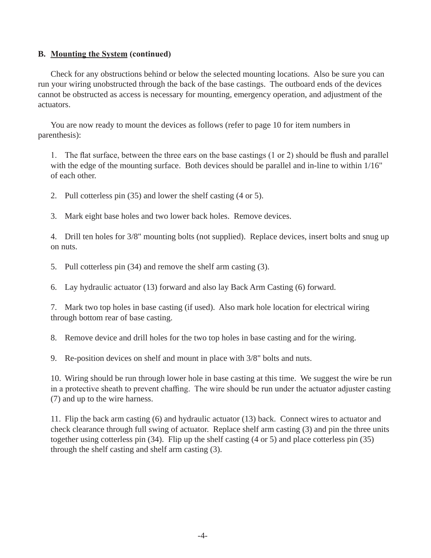#### **B. Mounting the System (continued)**

 Check for any obstructions behind or below the selected mounting locations. Also be sure you can run your wiring unobstructed through the back of the base castings. The outboard ends of the devices cannot be obstructed as access is necessary for mounting, emergency operation, and adjustment of the actuators.

 You are now ready to mount the devices as follows (refer to page 10 for item numbers in parenthesis):

1. The flat surface, between the three ears on the base castings (1 or 2) should be flush and parallel with the edge of the mounting surface. Both devices should be parallel and in-line to within  $1/16$ " of each other.

2. Pull cotterless pin (35) and lower the shelf casting (4 or 5).

3. Mark eight base holes and two lower back holes. Remove devices.

 4. Drill ten holes for 3/8" mounting bolts (not supplied). Replace devices, insert bolts and snug up on nuts.

5. Pull cotterless pin (34) and remove the shelf arm casting (3).

6. Lay hydraulic actuator (13) forward and also lay Back Arm Casting (6) forward.

 7. Mark two top holes in base casting (if used). Also mark hole location for electrical wiring through bottom rear of base casting.

8. Remove device and drill holes for the two top holes in base casting and for the wiring.

9. Re-position devices on shelf and mount in place with 3/8" bolts and nuts.

 10. Wiring should be run through lower hole in base casting at this time. We suggest the wire be run in a protective sheath to prevent chaffing. The wire should be run under the actuator adjuster casting (7) and up to the wire harness.

 11. Flip the back arm casting (6) and hydraulic actuator (13) back. Connect wires to actuator and check clearance through full swing of actuator. Replace shelf arm casting (3) and pin the three units together using cotterless pin (34). Flip up the shelf casting (4 or 5) and place cotterless pin (35) through the shelf casting and shelf arm casting (3).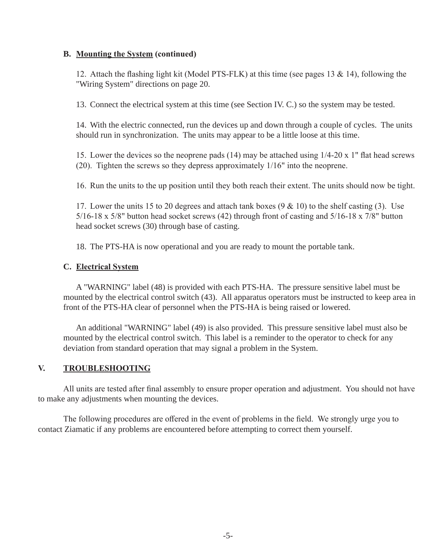### **B. Mounting the System (continued)**

12. Attach the flashing light kit (Model PTS-FLK) at this time (see pages 13  $\&$  14), following the "Wiring System" directions on page 20.

13. Connect the electrical system at this time (see Section IV. C.) so the system may be tested.

 14. With the electric connected, run the devices up and down through a couple of cycles. The units should run in synchronization. The units may appear to be a little loose at this time.

15. Lower the devices so the neoprene pads (14) may be attached using  $1/4-20 \times 1$ " flat head screws (20). Tighten the screws so they depress approximately 1/16" into the neoprene.

16. Run the units to the up position until they both reach their extent. The units should now be tight.

17. Lower the units 15 to 20 degrees and attach tank boxes  $(9 \& 10)$  to the shelf casting (3). Use 5/16-18 x 5/8" button head socket screws (42) through front of casting and 5/16-18 x 7/8" button head socket screws (30) through base of casting.

18. The PTS-HA is now operational and you are ready to mount the portable tank.

#### **C. Electrical System**

 A "WARNING" label (48) is provided with each PTS-HA. The pressure sensitive label must be mounted by the electrical control switch (43). All apparatus operators must be instructed to keep area in front of the PTS-HA clear of personnel when the PTS-HA is being raised or lowered.

 An additional "WARNING" label (49) is also provided. This pressure sensitive label must also be mounted by the electrical control switch. This label is a reminder to the operator to check for any deviation from standard operation that may signal a problem in the System.

# **V. TROUBLESHOOTING**

 All units are tested after final assembly to ensure proper operation and adjustment. You should not have to make any adjustments when mounting the devices.

 The following procedures are offered in the event of problems in the field. We strongly urge you to contact Ziamatic if any problems are encountered before attempting to correct them yourself.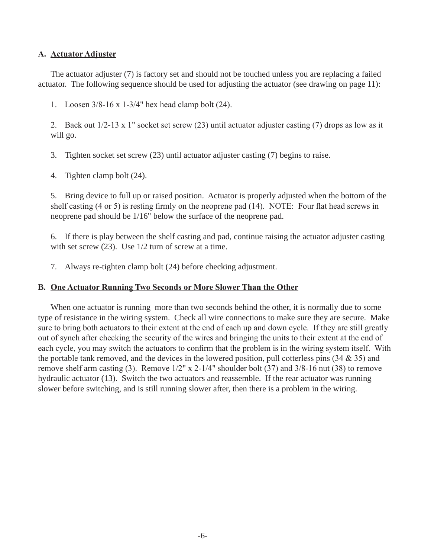#### **A. Actuator Adjuster**

 The actuator adjuster (7) is factory set and should not be touched unless you are replacing a failed actuator. The following sequence should be used for adjusting the actuator (see drawing on page 11):

1. Loosen  $3/8-16 \times 1-3/4$ " hex head clamp bolt (24).

2. Back out  $1/2-13 \times 1$ " socket set screw (23) until actuator adjuster casting (7) drops as low as it will go.

3. Tighten socket set screw (23) until actuator adjuster casting (7) begins to raise.

4. Tighten clamp bolt (24).

 5. Bring device to full up or raised position. Actuator is properly adjusted when the bottom of the shelf casting (4 or 5) is resting firmly on the neoprene pad (14). NOTE: Four flat head screws in neoprene pad should be 1/16" below the surface of the neoprene pad.

 6. If there is play between the shelf casting and pad, continue raising the actuator adjuster casting with set screw (23). Use  $1/2$  turn of screw at a time.

7. Always re-tighten clamp bolt (24) before checking adjustment.

#### **B. One Actuator Running Two Seconds or More Slower Than the Other**

When one actuator is running more than two seconds behind the other, it is normally due to some type of resistance in the wiring system. Check all wire connections to make sure they are secure. Make sure to bring both actuators to their extent at the end of each up and down cycle. If they are still greatly out of synch after checking the security of the wires and bringing the units to their extent at the end of each cycle, you may switch the actuators to confirm that the problem is in the wiring system itself. With the portable tank removed, and the devices in the lowered position, pull cotterless pins  $(34 \& 35)$  and remove shelf arm casting (3). Remove 1/2" x 2-1/4" shoulder bolt (37) and 3/8-16 nut (38) to remove hydraulic actuator (13). Switch the two actuators and reassemble. If the rear actuator was running slower before switching, and is still running slower after, then there is a problem in the wiring.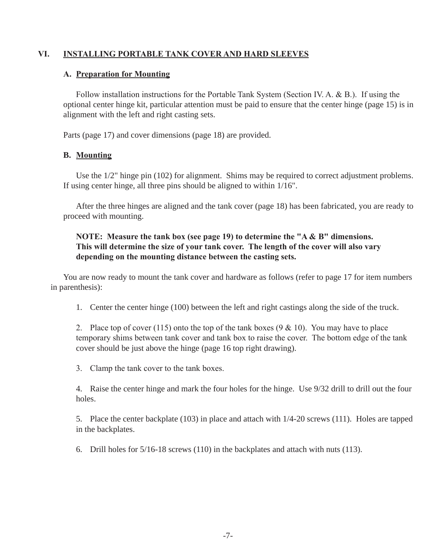# **VI. INSTALLING PORTABLE TANK COVER AND HARD SLEEVES**

### **A. Preparation for Mounting**

 Follow installation instructions for the Portable Tank System (Section IV. A. & B.). If using the optional center hinge kit, particular attention must be paid to ensure that the center hinge (page 15) is in alignment with the left and right casting sets.

Parts (page 17) and cover dimensions (page 18) are provided.

# **B. Mounting**

 Use the 1/2" hinge pin (102) for alignment. Shims may be required to correct adjustment problems. If using center hinge, all three pins should be aligned to within 1/16".

 After the three hinges are aligned and the tank cover (page 18) has been fabricated, you are ready to proceed with mounting.

# **NOTE: Measure the tank box (see page 19) to determine the "A & B" dimensions. This will determine the size of your tank cover. The length of the cover will also vary depending on the mounting distance between the casting sets.**

 You are now ready to mount the tank cover and hardware as follows (refer to page 17 for item numbers in parenthesis):

1. Center the center hinge (100) between the left and right castings along the side of the truck.

2. Place top of cover (115) onto the top of the tank boxes  $(9 \& 10)$ . You may have to place temporary shims between tank cover and tank box to raise the cover. The bottom edge of the tank cover should be just above the hinge (page 16 top right drawing).

 3. Clamp the tank cover to the tank boxes.

 4. Raise the center hinge and mark the four holes for the hinge. Use 9/32 drill to drill out the four holes.

 5. Place the center backplate (103) in place and attach with 1/4-20 screws (111). Holes are tapped in the backplates.

6. Drill holes for 5/16-18 screws (110) in the backplates and attach with nuts (113).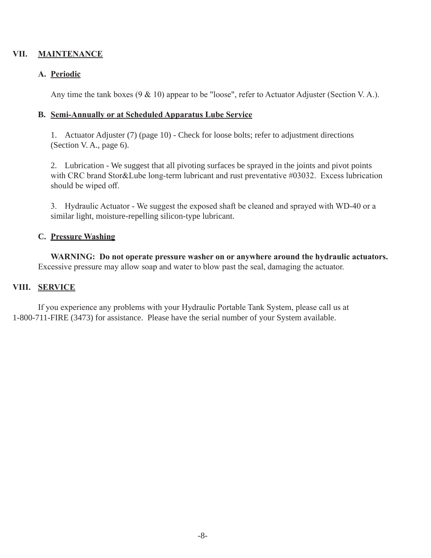### **VII. MAINTENANCE**

#### **A. Periodic**

Any time the tank boxes (9 & 10) appear to be "loose", refer to Actuator Adjuster (Section V. A.).

#### **B. Semi-Annually or at Scheduled Apparatus Lube Service**

 1. Actuator Adjuster (7) (page 10) - Check for loose bolts; refer to adjustment directions (Section V. A., page 6).

 2. Lubrication - We suggest that all pivoting surfaces be sprayed in the joints and pivot points with CRC brand Stor&Lube long-term lubricant and rust preventative #03032. Excess lubrication should be wiped off.

 3. Hydraulic Actuator - We suggest the exposed shaft be cleaned and sprayed with WD-40 or a similar light, moisture-repelling silicon-type lubricant.

#### **C. Pressure Washing**

 **WARNING: Do not operate pressure washer on or anywhere around the hydraulic actuators.** Excessive pressure may allow soap and water to blow past the seal, damaging the actuator.

#### **VIII. SERVICE**

 If you experience any problems with your Hydraulic Portable Tank System, please call us at 1-800-711-FIRE (3473) for assistance. Please have the serial number of your System available.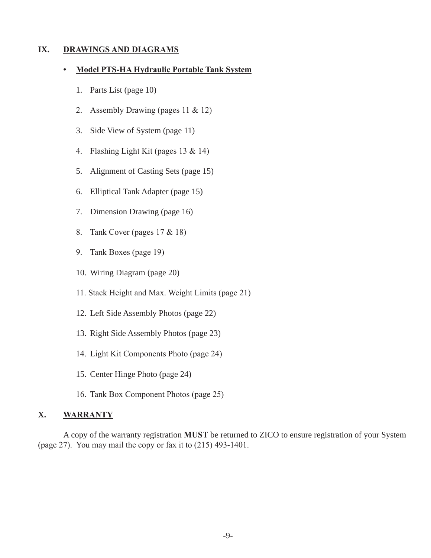#### **IX. DRAWINGS AND DIAGRAMS**

#### **• Model PTS-HA Hydraulic Portable Tank System**

- 1. Parts List (page 10)
- 2. Assembly Drawing (pages 11 & 12)
- 3. Side View of System (page 11)
- 4. Flashing Light Kit (pages 13 & 14)
- 5. Alignment of Casting Sets (page 15)
- 6. Elliptical Tank Adapter (page 15)
- 7. Dimension Drawing (page 16)
- 8. Tank Cover (pages 17 & 18)
- 9. Tank Boxes (page 19)
- 10. Wiring Diagram (page 20)
- 11. Stack Height and Max. Weight Limits (page 21)
- 12. Left Side Assembly Photos (page 22)
- 13. Right Side Assembly Photos (page 23)
- 14. Light Kit Components Photo (page 24)
- 15. Center Hinge Photo (page 24)
- 16. Tank Box Component Photos (page 25)

#### **X. WARRANTY**

 A copy of the warranty registration **MUST** be returned to ZICO to ensure registration of your System (page 27). You may mail the copy or fax it to (215) 493-1401.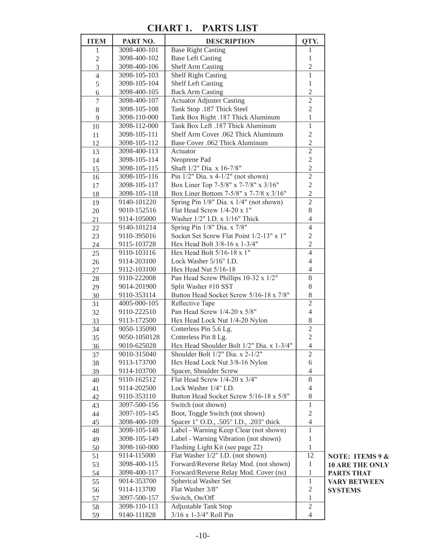# **CHART 1. PARTS LIST**

| <b>ITEM</b>    | PART NO.     | <b>DESCRIPTION</b>                             | QTY.                             |                        |
|----------------|--------------|------------------------------------------------|----------------------------------|------------------------|
| $\mathbf{1}$   | 3098-400-101 | <b>Base Right Casting</b>                      |                                  |                        |
| $\sqrt{2}$     | 3098-400-102 | <b>Base Left Casting</b>                       | 1                                |                        |
| 3              | 3098-400-106 | <b>Shelf Arm Casting</b>                       | $\overline{2}$                   |                        |
| $\overline{4}$ | 3098-105-103 | <b>Shelf Right Casting</b>                     | 1                                |                        |
| $\mathfrak s$  | 3098-105-104 | <b>Shelf Left Casting</b>                      | 1                                |                        |
| 6              | 3098-400-105 | <b>Back Arm Casting</b>                        | $\mathbf{2}$                     |                        |
| $\tau$         | 3098-400-107 | <b>Actuator Adjuster Casting</b>               | $\overline{2}$                   |                        |
| $8\,$          | 3098-105-108 | Tank Stop .187 Thick Steel                     | $\mathbf{2}$                     |                        |
| 9              | 3098-110-000 | Tank Box Right .187 Thick Aluminum             | 1                                |                        |
| 10             | 3098-112-000 | Tank Box Left .187 Thick Aluminum              | 1                                |                        |
| 11             | 3098-105-111 | Shelf Arm Cover .062 Thick Aluminum            | $\mathfrak{2}$                   |                        |
| 12             | 3098-105-112 | Base Cover .062 Thick Aluminum                 | $\overline{2}$                   |                        |
| 13             | 3098-400-113 | Actuator                                       | $\overline{2}$                   |                        |
| 14             | 3098-105-114 | Neoprene Pad                                   | $\mathbf{2}$                     |                        |
| 15             | 3098-105-115 | Shaft 1/2" Dia. x 16-7/8"                      | $\overline{2}$                   |                        |
| 16             | 3098-105-116 | Pin $1/2$ " Dia. x 4-1/2" (not shown)          | $\overline{2}$                   |                        |
| 17             | 3098-105-117 | Box Liner Top 7-5/8" x 7-7/8" x 3/16"          | $\mathbf{2}$                     |                        |
| 18             | 3098-105-118 | Box Liner Bottom 7-5/8" x 7-7/8 x 3/16"        | $\overline{2}$                   |                        |
| 19             | 9140-101220  | Spring Pin 1/8" Dia. x 1/4" (not shown)        | $\overline{2}$                   |                        |
| 20             | 9010-152516  | Flat Head Screw 1/4-20 x 1"                    | 8                                |                        |
| 21             | 9114-105000  | Washer 1/2" I.D. x 1/16" Thick                 | 4                                |                        |
| 22             | 9140-101214  | Spring Pin 1/8" Dia. x 7/8"                    | $\overline{4}$                   |                        |
| 23             | 9110-395016  | Socket Set Screw Flat Point 1/2-13" x 1"       | $\mathbf{2}$                     |                        |
| 24             | 9115-103728  | Hex Head Bolt 3/8-16 x 1-3/4"                  | $\overline{2}$                   |                        |
| 25             | 9110-103116  | Hex Head Bolt 5/16-18 x 1"                     | 4                                |                        |
| 26             | 9114-203100  | Lock Washer 5/16" I.D.                         | 4                                |                        |
| 27             | 9112-103100  | Hex Head Nut 5/16-18                           | 4                                |                        |
| 28             | 9110-222008  | Pan Head Screw Phillips 10-32 x 1/2"           | 8                                |                        |
| 29             | 9014-201900  | Split Washer #10 SST                           | 8                                |                        |
| 30             | 9110-353114  | Button Head Socket Screw 5/16-18 x 7/8"        | $8\,$                            |                        |
| 31             | 4005-000-105 | Reflective Tape                                | $\overline{2}$                   |                        |
| 32             | 9110-222510  | Pan Head Screw 1/4-20 x 5/8"                   | $\overline{4}$                   |                        |
| 33             | 9113-172500  | Hex Head Lock Nut 1/4-20 Nylon                 | $8\,$                            |                        |
| 34             | 9050-135090  | Cotterless Pin 5.6 Lg.                         | $\overline{2}$                   |                        |
| 35             | 9050-1050128 | Cotterless Pin 8 Lg.                           | $\overline{2}$                   |                        |
| 36             | 9010-625028  | Hex Head Shoulder Bolt 1/2" Dia. x 1-3/4"      | $\overline{4}$                   |                        |
| 37             | 9010-315040  | Shoulder Bolt 1/2" Dia. x 2-1/2"               | $\mathfrak{2}$                   |                        |
| 38             | 9113-173700  | Hex Head Lock Nut 3/8-16 Nylon                 | 6                                |                        |
| 39             | 9114-103700  | Spacer, Shoulder Screw                         | 4                                |                        |
| 40             | 9110-162512  | Flat Head Screw $1/4-20 \times 3/4$ "          | $8\,$                            |                        |
| 41             | 9114-202500  | Lock Washer 1/4" I.D.                          | 4                                |                        |
| 42             | 9110-353110  | Button Head Socket Screw 5/16-18 x 5/8"        | $8\,$                            |                        |
| 43             | 3097-500-156 | Switch (not shown)                             | 1                                |                        |
| 44             | 3097-105-145 | Boot, Toggle Switch (not shown)                | $\mathbf{2}$                     |                        |
| 45             | 3098-400-109 | Spacer 1" O.D., .505" I.D., .203" thick        | 4                                |                        |
| 48             | 3098-105-148 | Label - Warning Keep Clear (not shown)         | 1                                |                        |
| 49             | 3098-105-149 | Label - Warning Vibration (not shown)          | 1                                |                        |
| 50             | 3098-160-000 | Flashing Light Kit (see page 22)               | 1                                |                        |
| 51             | 9114-115000  | Flat Washer 1/2" I.D. (not shown)              | 12                               | NOTE: ITEMS 9 &        |
| 53             | 3098-400-115 | Forward/Reverse Relay Mod. (not shown)         | 1                                | <b>10 ARE THE ONLY</b> |
| 54             | 3098-400-117 | Forward/Reverse Relay Mod. Cover (ns)          | 1                                | <b>PARTS THAT</b>      |
| 55             | 9014-353700  | Spherical Washer Set                           | 1                                | <b>VARY BETWEEN</b>    |
| 56             | 9114-113700  | Flat Washer 3/8"                               | $\overline{c}$                   | <b>SYSTEMS</b>         |
| 57             | 3097-500-157 | Switch, On/Off                                 | 1                                |                        |
| 58             | 3098-110-113 | Adjustable Tank Stop<br>3/16 x 1-3/4" Roll Pin | $\overline{c}$<br>$\overline{4}$ |                        |
| 59             | 9140-111828  |                                                |                                  |                        |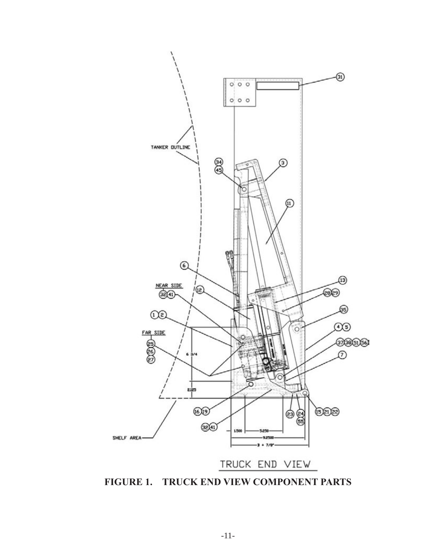

**FIGURE 1. TRUCK END VIEW COMPONENT PARTS**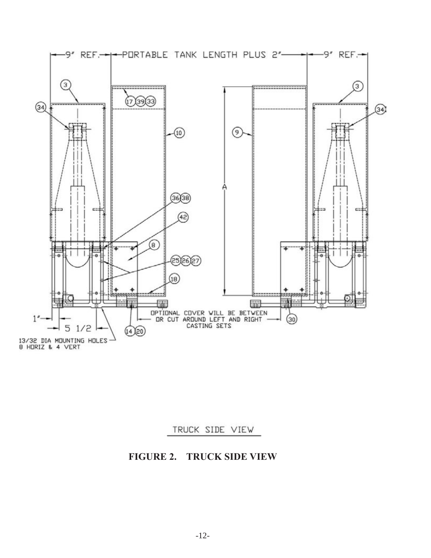

TRUCK SIDE VIEW

**FIGURE 2. TRUCK SIDE VIEW**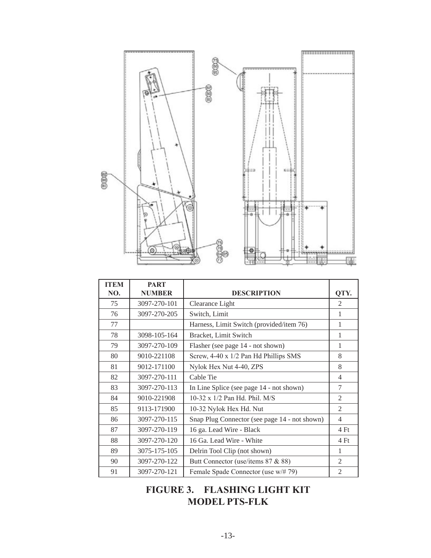

| <b>ITEM</b><br>NO. | <b>PART</b><br><b>NUMBER</b> | <b>DESCRIPTION</b>                            | QTY.           |
|--------------------|------------------------------|-----------------------------------------------|----------------|
| 75                 | 3097-270-101                 | Clearance Light                               | $\mathcal{L}$  |
| 76                 | 3097-270-205                 | Switch, Limit                                 | 1              |
| 77                 |                              | Harness, Limit Switch (provided/item 76)      | 1              |
| 78                 | 3098-105-164                 | Bracket, Limit Switch                         | 1              |
| 79                 | 3097-270-109                 | Flasher (see page 14 - not shown)             | 1              |
| 80                 | 9010-221108                  | Screw, 4-40 x 1/2 Pan Hd Phillips SMS         | 8              |
| 81                 | 9012-171100                  | Nylok Hex Nut 4-40, ZPS                       | 8              |
| 82                 | 3097-270-111                 | Cable Tie                                     | 4              |
| 83                 | 3097-270-113                 | In Line Splice (see page 14 - not shown)      | 7              |
| 84                 | 9010-221908                  | 10-32 x $1/2$ Pan Hd. Phil. M/S               | 2              |
| 85                 | 9113-171900                  | 10-32 Nylok Hex Hd. Nut                       | 2              |
| 86                 | 3097-270-115                 | Snap Plug Connector (see page 14 - not shown) | $\overline{4}$ |
| 87                 | 3097-270-119                 | 16 ga. Lead Wire - Black                      | 4 Ft           |
| 88                 | 3097-270-120                 | 16 Ga. Lead Wire - White                      | 4 Ft           |
| 89                 | 3075-175-105                 | Delrin Tool Clip (not shown)                  | 1              |
| 90                 | 3097-270-122                 | Butt Connector (use/items 87 & 88)            | $\mathfrak{D}$ |
| 91                 | 3097-270-121                 | Female Spade Connector (use w/# 79)           | $\mathfrak{D}$ |

# **FIGURE 3. FLASHING LIGHT KIT MODEL PTS-FLK**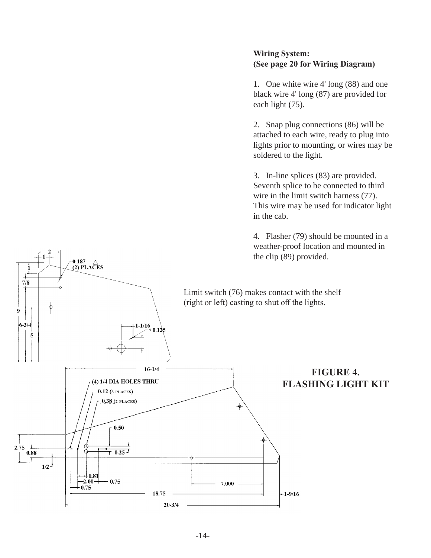# **Wiring System: (See page 20 for Wiring Diagram)**

1. One white wire 4' long (88) and one black wire 4' long (87) are provided for each light (75).

2. Snap plug connections (86) will be attached to each wire, ready to plug into lights prior to mounting, or wires may be soldered to the light.

3. In-line splices (83) are provided. Seventh splice to be connected to third wire in the limit switch harness  $(77)$ . This wire may be used for indicator light in the cab.

4. Flasher (79) should be mounted in a weather-proof location and mounted in the clip (89) provided.



 $\mathbf{2}$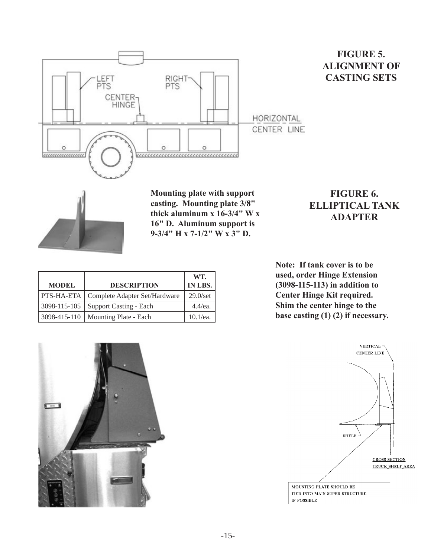

**9-3/4" H x 7-1/2" W x 3" D.**

# **FIGURE 6. ELLIPTICAL TANK ADAPTER**

**FIGURE 5. ALIGNMENT OF CASTING SETS**

|              |                                                   | WT.               |
|--------------|---------------------------------------------------|-------------------|
| <b>MODEL</b> | <b>DESCRIPTION</b>                                | IN LBS.           |
|              | <b>PTS-HA-ETA</b>   Complete Adapter Set/Hardware | $29.0/\text{set}$ |
| 3098-115-105 | Support Casting - Each                            | $4.4$ /ea.        |
|              | 3098-415-110   Mounting Plate - Each              | $10.1$ /ea.       |

**Note: If tank cover is to be used, order Hinge Extension (3098-115-113) in addition to Center Hinge Kit required. Shim the center hinge to the base casting (1) (2) if necessary.**





MOUNTING PLATE SHOULD BE TIED INTO MAIN SUPER STRUCTURE IF POSSIBLE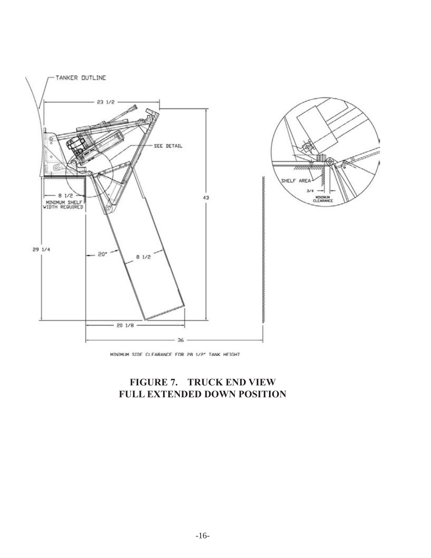

# **FIGURE 7. TRUCK END VIEW FULL EXTENDED DOWN POSITION**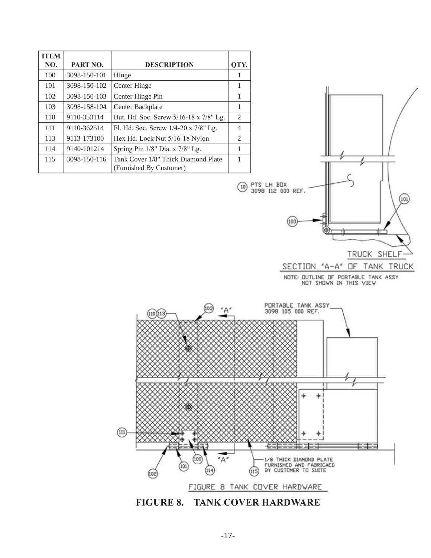

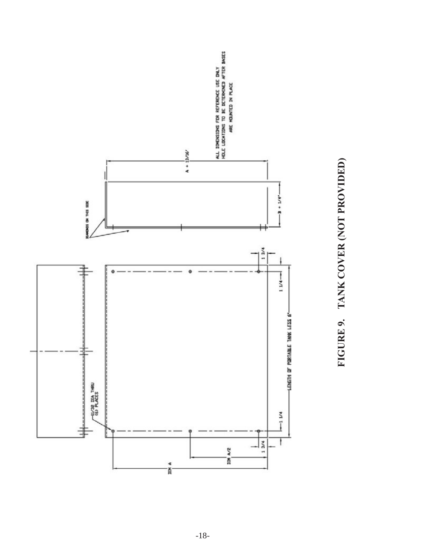



-18-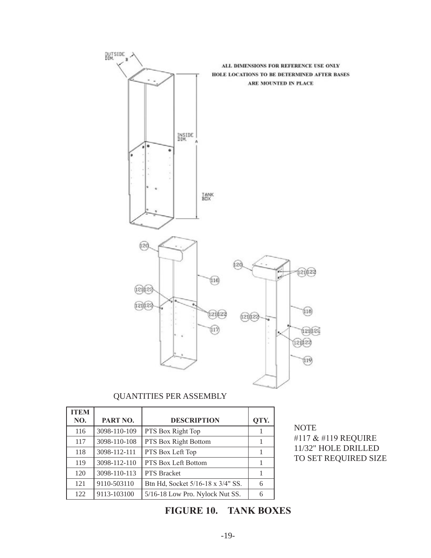

# QUANTITIES PER ASSEMBLY

| <b>ITEM</b> |              |                                   |      |
|-------------|--------------|-----------------------------------|------|
| NO.         | PART NO.     | <b>DESCRIPTION</b>                | QTY. |
| 116         | 3098-110-109 | PTS Box Right Top                 |      |
| 117         | 3098-110-108 | PTS Box Right Bottom              |      |
| 118         | 3098-112-111 | PTS Box Left Top                  |      |
| 119         | 3098-112-110 | PTS Box Left Bottom               |      |
| 120         | 3098-110-113 | <b>PTS</b> Bracket                |      |
| 121         | 9110-503110  | Btn Hd, Socket 5/16-18 x 3/4" SS. | 6    |
| 122         | 9113-103100  | 5/16-18 Low Pro. Nylock Nut SS.   |      |

NOTE #117 & #119 REQUIRE 11/32" HOLE DRILLED TO SET REQUIRED SIZE

**FIGURE 10. TANK BOXES**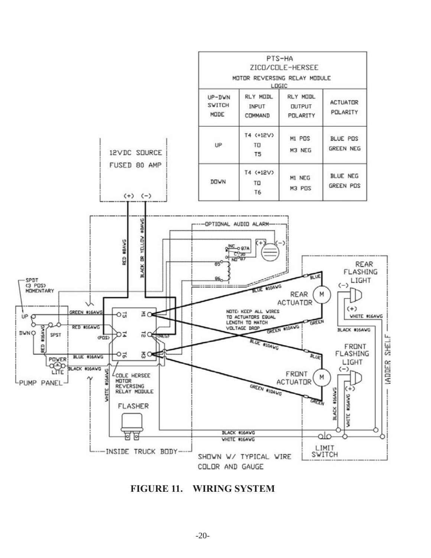

**FIGURE 11. WIRING SYSTEM**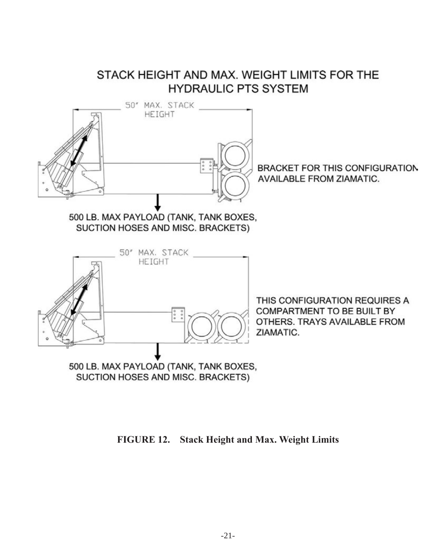

**FIGURE 12. Stack Height and Max. Weight Limits**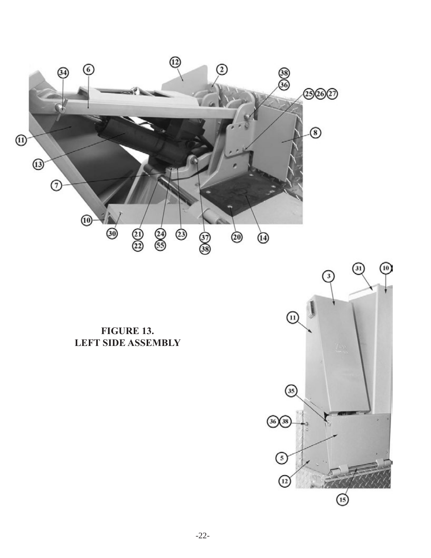

**FIGURE 13. LEFT SIDE ASSEMBLY**

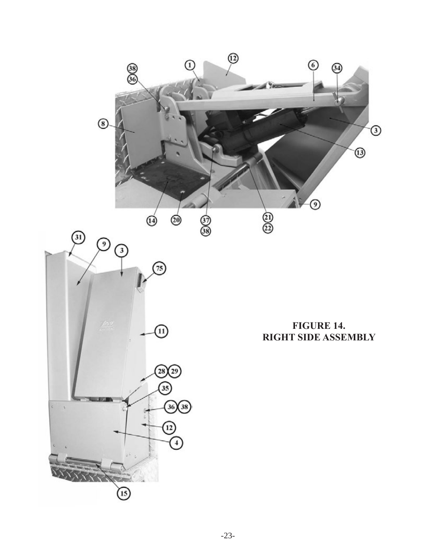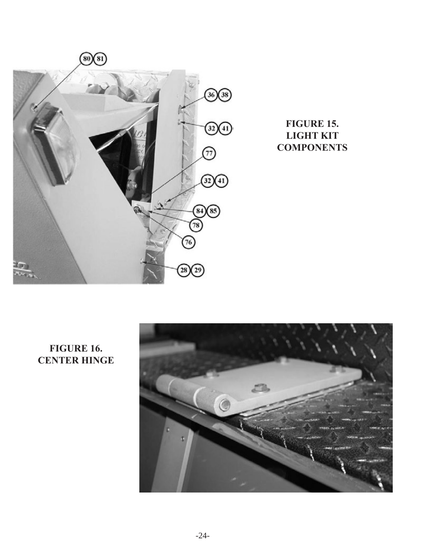

**FIGURE 15. LIGHT KIT COMPONENTS**

# **FIGURE 16. CENTER HINGE**

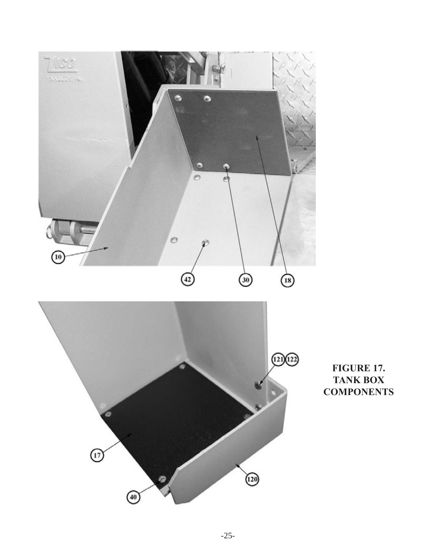

**FIGURE 17. TANK BOX COMPONENTS**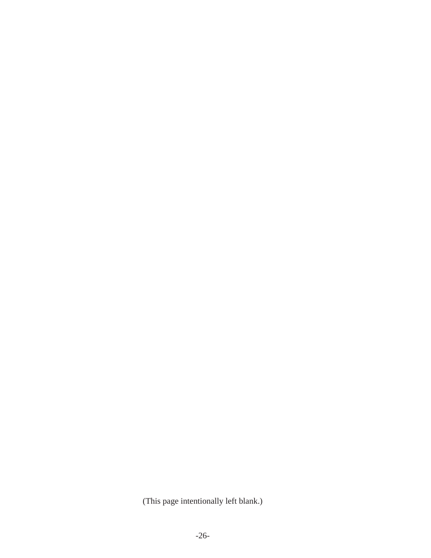(This page intentionally left blank.)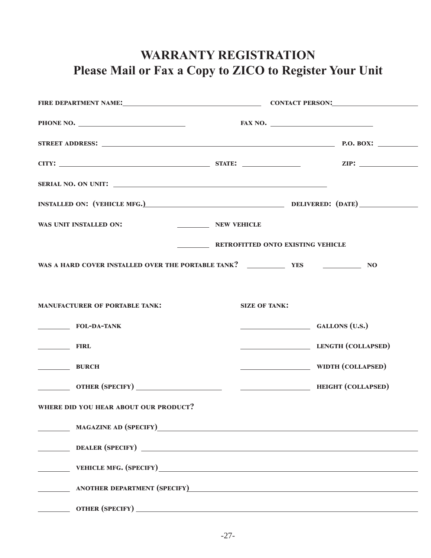# **WARRANTY REGISTRATION Please Mail or Fax a Copy to ZICO to Register Your Unit**

|                                                                                                                   | FIRE DEPARTMENT NAME: CONTACT PERSON:    |                    |  |
|-------------------------------------------------------------------------------------------------------------------|------------------------------------------|--------------------|--|
| PHONE NO.                                                                                                         |                                          |                    |  |
|                                                                                                                   |                                          |                    |  |
|                                                                                                                   |                                          |                    |  |
|                                                                                                                   |                                          |                    |  |
| INSTALLED ON: (VEHICLE MFG.) DELIVERED: (DATE)                                                                    |                                          |                    |  |
| WAS UNIT INSTALLED ON:<br>NEW VEHICLE                                                                             |                                          |                    |  |
|                                                                                                                   | <b>RETROFITTED ONTO EXISTING VEHICLE</b> |                    |  |
|                                                                                                                   |                                          |                    |  |
|                                                                                                                   |                                          |                    |  |
| <b>MANUFACTURER OF PORTABLE TANK:</b>                                                                             | <b>SIZE OF TANK:</b>                     |                    |  |
| FOL-DA-TANK                                                                                                       |                                          | GALLONS (U.S.)     |  |
| FIRL                                                                                                              |                                          | LENGTH (COLLAPSED) |  |
| BURCH                                                                                                             |                                          | WIDTH (COLLAPSED)  |  |
|                                                                                                                   |                                          |                    |  |
| WHERE DID YOU HEAR ABOUT OUR PRODUCT?                                                                             |                                          |                    |  |
|                                                                                                                   |                                          |                    |  |
|                                                                                                                   |                                          |                    |  |
| VEHICLE MFG. (SPECIFY)                                                                                            |                                          |                    |  |
| ANOTHER DEPARTMENT (SPECIFY)<br><u>Example 2001</u><br>$\frac{1}{\sqrt{1-\frac{1}{2}}\left(1-\frac{1}{2}\right)}$ |                                          |                    |  |
|                                                                                                                   |                                          |                    |  |